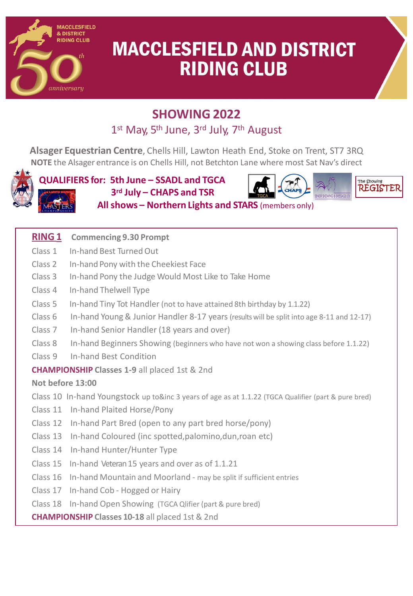

# **MACCLESFIELD AND DISTRICT RIDING CLUB**

The Showing **REGISTE** 

## **SHOWING 2022**

## 1<sup>st</sup> May, 5<sup>th</sup> June, 3<sup>rd</sup> July, 7<sup>th</sup> August

**Alsager Equestrian Centre**, Chells Hill, Lawton Heath End, Stoke on Trent, ST7 3RQ **NOTE** the Alsager entrance is on Chells Hill, not Betchton Lane where most Sat Nav's direct



**QUALIFIERS for: 5th June – SSADL and TGCA 3rd July – CHAPS and TSR Allshows – Northern Lights and STARS** (members only)

### **RING 1 Commencing 9.30 Prompt**

- Class 1 In-hand Best Turned Out
- Class 2 In-hand Pony with the Cheekiest Face
- Class 3 In-hand Pony the Judge Would Most Like to Take Home
- Class 4 In-hand Thelwell Type
- Class 5 In-hand Tiny Tot Handler (not to have attained 8th birthday by 1.1.22)
- Class 6 In-hand Young& Junior Handler 8-17 years (resultswill be split into age 8-11 and 12-17)
- Class 7 In-hand Senior Handler (18 years and over)
- Class 8 In-hand Beginners Showing (beginners who have not won a showing class before 1.1.22)
- Class 9 In-hand Best Condition

### **CHAMPIONSHIP Classes 1-9** all placed 1st & 2nd

### **Not before 13:00**

Class 10 In-hand Youngstock up to&inc 3 years of age as at 1.1.22 (TGCA Qualifier (part & pure bred)

- Class 11 In-hand Plaited Horse/Pony
- Class 12 In-hand Part Bred (open to any part bred horse/pony)
- Class 13 In-hand Coloured (inc spotted,palomino,dun,roan etc)
- Class 14 In-hand Hunter/Hunter Type
- Class 15 In-hand Veteran 15 years and over as of 1.1.21
- Class 16 In-hand Mountain and Moorland may be split if sufficient entries
- Class 17 In-hand Cob Hogged or Hairy
- Class 18 In-hand Open Showing (TGCA Qlifier (part & pure bred)

**CHAMPIONSHIP Classes 10-18** all placed 1st & 2nd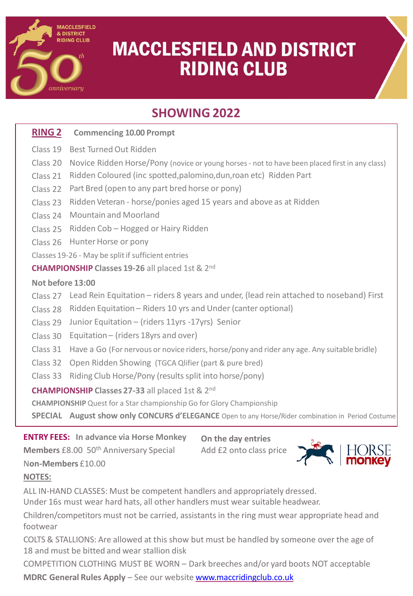

# **MACCLESFIELD AND DISTRICT RIDING CLUB**

## **SHOWING 2022**

### **RING 2 Commencing 10.00 Prompt**

- Class 19 Best TurnedOut Ridden
- Class 20 Novice Ridden Horse/Pony (novice or young horses not to have been placed first in any class)
- Class 21 Ridden Coloured (inc spotted,palomino,dun,roan etc) Ridden Part
- Class 22 Part Bred (open to any part bred horse or pony)
- Class 23 Ridden Veteran horse/ponies aged 15 years and above as at Ridden
- Class 24 Mountain and Moorland
- Class 25 Ridden Cob Hogged or Hairy Ridden
- Class 26 HunterHorse or pony
- Classes 19-26 May be split if sufficient entries

**CHAMPIONSHIP Classes 19-26** all placed 1st & 2nd

#### **Not before 13:00**

- Class 27 Lead Rein Equitation riders 8 years and under, (lead rein attached to noseband) First
- Class 28 Ridden Equitation Riders 10 yrs and Under (canter optional)
- Class 29 Junior Equitation (riders 11yrs -17yrs) Senior
- Class 30 Equitation (riders 18yrs and over)
- Class 31 Have a Go (For nervous or novice riders, horse/pony and rider any age. Any suitable bridle)
- Class 32 Open Ridden Showing (TGCA Qlifier (part & pure bred)
- Class 33 Riding Club Horse/Pony (resultssplit into horse/pony)

### **CHAMPIONSHIP Classes 27-33** all placed 1st & 2nd

**CHAMPIONSHIP** Quest for a Star championship Go for Glory Championship

**SPECIAL August show only CONCURS d'ELEGANCE** Open to any Horse/Rider combination in Period Costume

### **ENTRY FEES: In advance via Horse Monkey**

**Members** £8.00 50<sup>th</sup> Anniversary Special

**On the day entries** Add £2 onto class price

### **NOTES:**

N**on-Members** £10.00

ALL IN-HAND CLASSES: Must be competent handlers and appropriately dressed.

Under 16s must wear hard hats, all other handlers must wear suitable headwear.

Children/competitors must not be carried, assistants in the ring must wear appropriate head and footwear

COLTS & STALLIONS: Are allowed at this show but must be handled by someone over the age of 18 and must be bitted and wear stallion disk

COMPETITION CLOTHING MUST BE WORN – Dark breeches and/or yard boots NOT acceptable

**MDRC General Rules Apply** – See our website [www.maccridingclub.co.uk](http://www.maccridingclub.co.uk/)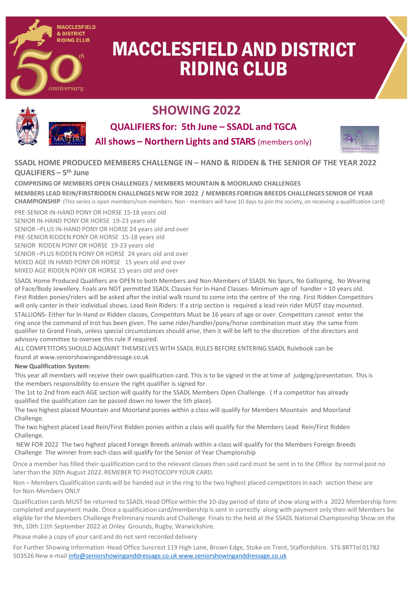

# **MACCLESFIELD AND DISTRICT RIDING CLUB**



## **SHOWING 2022**

**QUALIFIERS for: 5th June – SSADL and TGCA Allshows – Northern Lights and STARS** (members only)



**SSADL HOME PRODUCED MEMBERS CHALLENGE IN – HAND & RIDDEN & THE SENIOR OF THE YEAR 2022 QUALIFIERS – 5th June**

**COMPRISING OF MEMBERS OPEN CHALLENGES / MEMBERS MOUNTAIN & MOORLAND CHALLENGES MEMBERS LEAD REIN/FIRSTRIDDEN CHALLENGESNEW FOR 2022 / MEMBERS FOREIGN BREEDS CHALLENGES SENIOR OF YEAR CHAMPIONSHIP** (This series is open members/non-members. Non - members will have 10 days to join the society, on receiving a qualification card) PRE-SENIOR IN-HAND PONY OR HORSE 15-18 years old

SENIOR IN-HAND PONY OR HORSE 19-23 years old SENIOR –PLUS IN-HAND PONY OR HORSE 24 years old and over PRE-SENIOR RIDDEN PONY OR HORSE 15-18 years old SENIOR RIDDEN PONY OR HORSE 19-23 years old SENIOR –PLUS RIDDEN PONY OR HORSE 24 years old and over MIXED AGE IN HAND PONY OR HORSE 15 years old and over MIXED AGE RIDDEN PONY OR HORSE 15 years old and over

SSADL Home Produced Qualifiers are OPEN to both Members and Non-Members of SSADL No Spurs, No Galloping, No Wearing of Face/Body Jewellery. Foals are NOT permitted SSADL Classes For In-Hand Classes- Minimum age of handler = 10 years old. First Ridden ponies/riders will be asked after the initial walk round to come into the centre of the ring. First Ridden Competitors will only canter in their individual shows. Lead Rein Riders: If a strip section is required a lead rein rider MUST stay mounted. STALLIONS- Either for In Hand or Ridden classes, Competitors Must be 16 years of age or over. Competitors cannot enter the ring once the command of trot has been given. The same rider/handler/pony/horse combination must stay the same from qualifier to Grand Finals, unless special circumstances should arise, then it will be left to the discretion of the directors and advisory committee to oversee this rule if required.

ALL COMPETITORS SHOULD AQUAINT THEMSELVES WITH SSADL RULES BEFORE ENTERING SSADL Rulebook can be found at www.seniorshowinganddressage.co.uk

#### **New Qualification System:**

This year all members will receive their own qualification card. This is to be signed in the at time of judging/presentation. This is the members responsibility to ensure the right qualifier is signed for.

The 1st to 2nd from each AGE section will qualify for the SSADL Members Open Challenge. ( If a competitor has already qualified the qualification can be passed down no lower the 5th place).

The two highest placed Mountain and Moorland ponies within a class will qualify for Members Mountain and Moorland Challenge.

The two highest placed Lead Rein/First Ridden ponies within a class will qualify for the Members Lead Rein/First Ridden Challenge.

NEW FOR 2022 The two highest placed Foreign Breeds animals within a class will qualify for the Members Foreign Breeds Challenge The winner from each class will qualify for the Senior of Year Championship

Once a member has filled their qualification card to the relevant classesthen said card must be sent in to the Office by normal post no later than the 30th August 2022. REMEBER TO PHOTOCOPY YOUR CARD.

Non – Members Qualification cards will be handed out in the ring to the two highest placed competitors in each section these are for Non-Members ONLY

Qualification cards MUST be returned to SSADL Head Office within the 10-day period of date of show along with a 2022 Membership form completed and payment made. Once a qualification card/membership is sent in correctly along with payment only then will Members be eligible for the Members Challenge Preliminary rounds and Challenge Finals to the held at the SSADL National Championship Show on the 9th, 10th 11th September 2022 at Onley Grounds, Rugby, Warwickshire.

Please make a copy of your card and do not sent recorded delivery

For Further Showing Information -Head Office Suncrest 119 High Lane, Brown Edge, Stoke on Trent, Staffordshire. ST6 8RTTel 01782 503526 New e-mail [info@seniorshowinganddressage.co.uk](mailto:info@seniorshowinganddressage.co.uk) [www.seniorshowinganddressage.co.uk](http://www.seniorshowinganddressage.co.uk/)